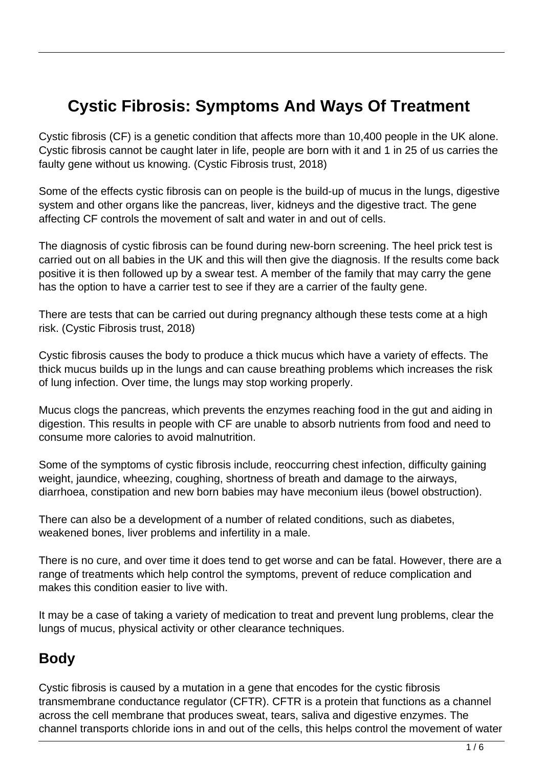# **Cystic Fibrosis: Symptoms And Ways Of Treatment**

Cystic fibrosis (CF) is a genetic condition that affects more than 10,400 people in the UK alone. Cystic fibrosis cannot be caught later in life, people are born with it and 1 in 25 of us carries the faulty gene without us knowing. (Cystic Fibrosis trust, 2018)

Some of the effects cystic fibrosis can on people is the build-up of mucus in the lungs, digestive system and other organs like the pancreas, liver, kidneys and the digestive tract. The gene affecting CF controls the movement of salt and water in and out of cells.

The diagnosis of cystic fibrosis can be found during new-born screening. The heel prick test is carried out on all babies in the UK and this will then give the diagnosis. If the results come back positive it is then followed up by a swear test. A member of the family that may carry the gene has the option to have a carrier test to see if they are a carrier of the faulty gene.

There are tests that can be carried out during pregnancy although these tests come at a high risk. (Cystic Fibrosis trust, 2018)

Cystic fibrosis causes the body to produce a thick mucus which have a variety of effects. The thick mucus builds up in the lungs and can cause breathing problems which increases the risk of lung infection. Over time, the lungs may stop working properly.

Mucus clogs the pancreas, which prevents the enzymes reaching food in the gut and aiding in digestion. This results in people with CF are unable to absorb nutrients from food and need to consume more calories to avoid malnutrition.

Some of the symptoms of cystic fibrosis include, reoccurring chest infection, difficulty gaining weight, jaundice, wheezing, coughing, shortness of breath and damage to the airways, diarrhoea, constipation and new born babies may have meconium ileus (bowel obstruction).

There can also be a development of a number of related conditions, such as diabetes, weakened bones, liver problems and infertility in a male.

There is no cure, and over time it does tend to get worse and can be fatal. However, there are a range of treatments which help control the symptoms, prevent of reduce complication and makes this condition easier to live with.

It may be a case of taking a variety of medication to treat and prevent lung problems, clear the lungs of mucus, physical activity or other clearance techniques.

#### **Body**

Cystic fibrosis is caused by a mutation in a gene that encodes for the cystic fibrosis transmembrane conductance regulator (CFTR). CFTR is a protein that functions as a channel across the cell membrane that produces sweat, tears, saliva and digestive enzymes. The channel transports chloride ions in and out of the cells, this helps control the movement of water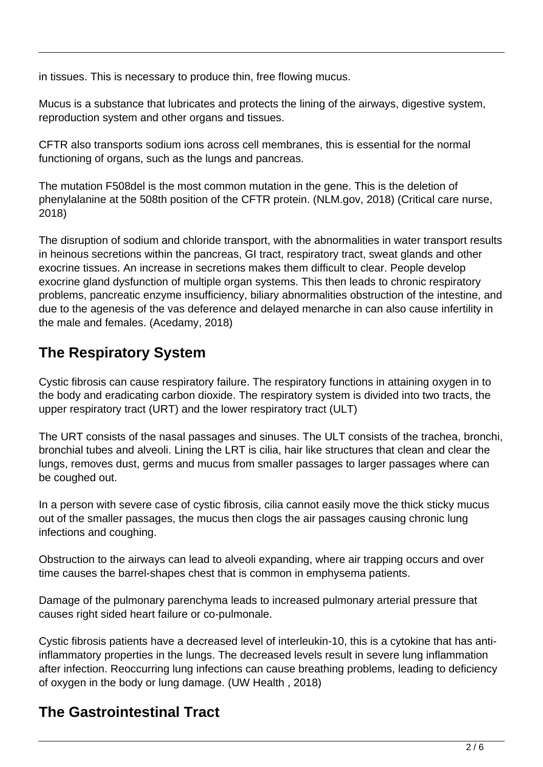in tissues. This is necessary to produce thin, free flowing mucus.

Mucus is a substance that lubricates and protects the lining of the airways, digestive system, reproduction system and other organs and tissues.

CFTR also transports sodium ions across cell membranes, this is essential for the normal functioning of organs, such as the lungs and pancreas.

The mutation F508del is the most common mutation in the gene. This is the deletion of phenylalanine at the 508th position of the CFTR protein. (NLM.gov, 2018) (Critical care nurse, 2018)

The disruption of sodium and chloride transport, with the abnormalities in water transport results in heinous secretions within the pancreas, GI tract, respiratory tract, sweat glands and other exocrine tissues. An increase in secretions makes them difficult to clear. People develop exocrine gland dysfunction of multiple organ systems. This then leads to chronic respiratory problems, pancreatic enzyme insufficiency, biliary abnormalities obstruction of the intestine, and due to the agenesis of the vas deference and delayed menarche in can also cause infertility in the male and females. (Acedamy, 2018)

# **The Respiratory System**

Cystic fibrosis can cause respiratory failure. The respiratory functions in attaining oxygen in to the body and eradicating carbon dioxide. The respiratory system is divided into two tracts, the upper respiratory tract (URT) and the lower respiratory tract (ULT)

The URT consists of the nasal passages and sinuses. The ULT consists of the trachea, bronchi, bronchial tubes and alveoli. Lining the LRT is cilia, hair like structures that clean and clear the lungs, removes dust, germs and mucus from smaller passages to larger passages where can be coughed out.

In a person with severe case of cystic fibrosis, cilia cannot easily move the thick sticky mucus out of the smaller passages, the mucus then clogs the air passages causing chronic lung infections and coughing.

Obstruction to the airways can lead to alveoli expanding, where air trapping occurs and over time causes the barrel-shapes chest that is common in emphysema patients.

Damage of the pulmonary parenchyma leads to increased pulmonary arterial pressure that causes right sided heart failure or co-pulmonale.

Cystic fibrosis patients have a decreased level of interleukin-10, this is a cytokine that has antiinflammatory properties in the lungs. The decreased levels result in severe lung inflammation after infection. Reoccurring lung infections can cause breathing problems, leading to deficiency of oxygen in the body or lung damage. (UW Health , 2018)

# **The Gastrointestinal Tract**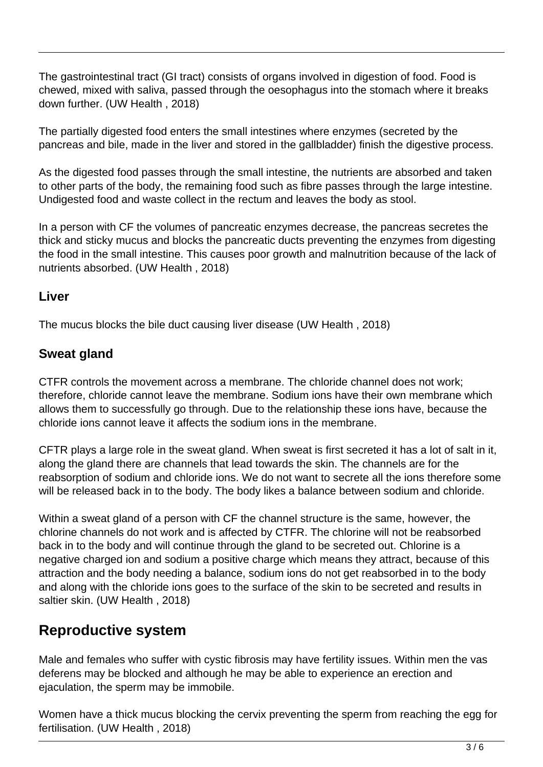The gastrointestinal tract (GI tract) consists of organs involved in digestion of food. Food is chewed, mixed with saliva, passed through the oesophagus into the stomach where it breaks down further. (UW Health , 2018)

The partially digested food enters the small intestines where enzymes (secreted by the pancreas and bile, made in the liver and stored in the gallbladder) finish the digestive process.

As the digested food passes through the small intestine, the nutrients are absorbed and taken to other parts of the body, the remaining food such as fibre passes through the large intestine. Undigested food and waste collect in the rectum and leaves the body as stool.

In a person with CF the volumes of pancreatic enzymes decrease, the pancreas secretes the thick and sticky mucus and blocks the pancreatic ducts preventing the enzymes from digesting the food in the small intestine. This causes poor growth and malnutrition because of the lack of nutrients absorbed. (UW Health , 2018)

#### **Liver**

The mucus blocks the bile duct causing liver disease (UW Health , 2018)

#### **Sweat gland**

CTFR controls the movement across a membrane. The chloride channel does not work; therefore, chloride cannot leave the membrane. Sodium ions have their own membrane which allows them to successfully go through. Due to the relationship these ions have, because the chloride ions cannot leave it affects the sodium ions in the membrane.

CFTR plays a large role in the sweat gland. When sweat is first secreted it has a lot of salt in it, along the gland there are channels that lead towards the skin. The channels are for the reabsorption of sodium and chloride ions. We do not want to secrete all the ions therefore some will be released back in to the body. The body likes a balance between sodium and chloride.

Within a sweat gland of a person with CF the channel structure is the same, however, the chlorine channels do not work and is affected by CTFR. The chlorine will not be reabsorbed back in to the body and will continue through the gland to be secreted out. Chlorine is a negative charged ion and sodium a positive charge which means they attract, because of this attraction and the body needing a balance, sodium ions do not get reabsorbed in to the body and along with the chloride ions goes to the surface of the skin to be secreted and results in saltier skin. (UW Health , 2018)

### **Reproductive system**

Male and females who suffer with cystic fibrosis may have fertility issues. Within men the vas deferens may be blocked and although he may be able to experience an erection and ejaculation, the sperm may be immobile.

Women have a thick mucus blocking the cervix preventing the sperm from reaching the egg for fertilisation. (UW Health , 2018)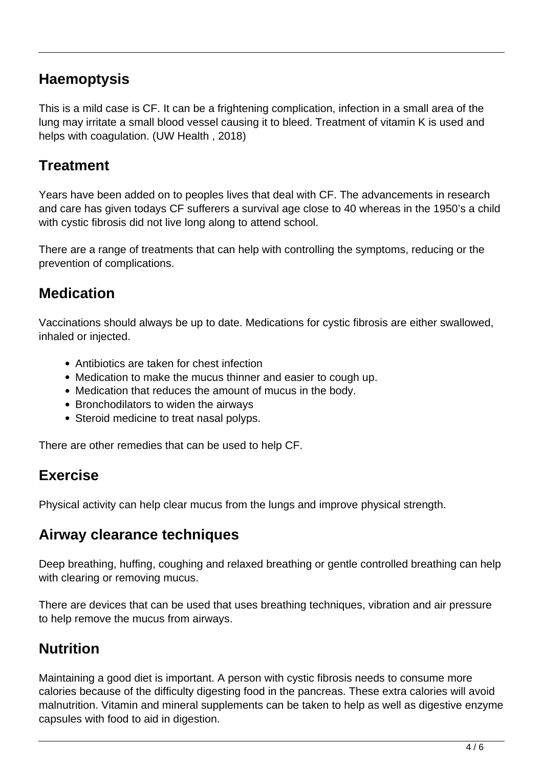### **Haemoptysis**

This is a mild case is CF. It can be a frightening complication, infection in a small area of the lung may irritate a small blood vessel causing it to bleed. Treatment of vitamin K is used and helps with coagulation. (UW Health , 2018)

#### **Treatment**

Years have been added on to peoples lives that deal with CF. The advancements in research and care has given todays CF sufferers a survival age close to 40 whereas in the 1950's a child with cystic fibrosis did not live long along to attend school.

There are a range of treatments that can help with controlling the symptoms, reducing or the prevention of complications.

### **Medication**

Vaccinations should always be up to date. Medications for cystic fibrosis are either swallowed, inhaled or injected.

- Antibiotics are taken for chest infection
- Medication to make the mucus thinner and easier to cough up.
- Medication that reduces the amount of mucus in the body.
- Bronchodilators to widen the airways
- Steroid medicine to treat nasal polyps.

There are other remedies that can be used to help CF.

### **Exercise**

Physical activity can help clear mucus from the lungs and improve physical strength.

#### **Airway clearance techniques**

Deep breathing, huffing, coughing and relaxed breathing or gentle controlled breathing can help with clearing or removing mucus.

There are devices that can be used that uses breathing techniques, vibration and air pressure to help remove the mucus from airways.

# **Nutrition**

Maintaining a good diet is important. A person with cystic fibrosis needs to consume more calories because of the difficulty digesting food in the pancreas. These extra calories will avoid malnutrition. Vitamin and mineral supplements can be taken to help as well as digestive enzyme capsules with food to aid in digestion.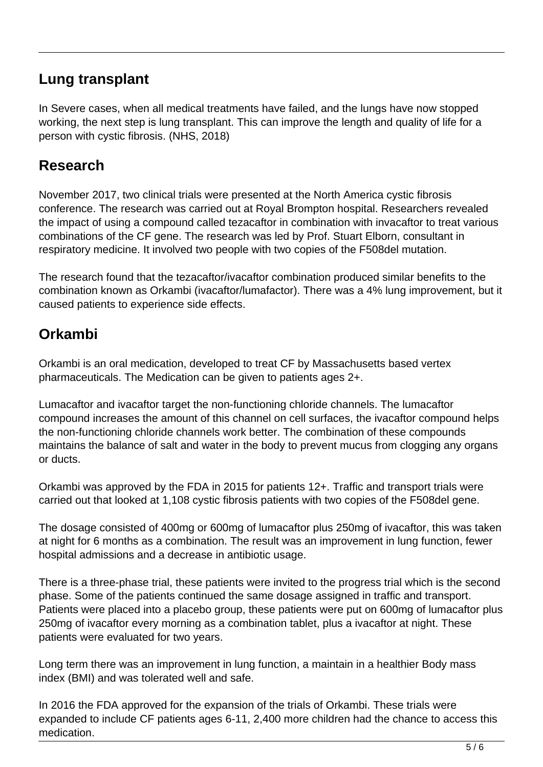### **Lung transplant**

In Severe cases, when all medical treatments have failed, and the lungs have now stopped working, the next step is lung transplant. This can improve the length and quality of life for a person with cystic fibrosis. (NHS, 2018)

#### **Research**

November 2017, two clinical trials were presented at the North America cystic fibrosis conference. The research was carried out at Royal Brompton hospital. Researchers revealed the impact of using a compound called tezacaftor in combination with invacaftor to treat various combinations of the CF gene. The research was led by Prof. Stuart Elborn, consultant in respiratory medicine. It involved two people with two copies of the F508del mutation.

The research found that the tezacaftor/ivacaftor combination produced similar benefits to the combination known as Orkambi (ivacaftor/lumafactor). There was a 4% lung improvement, but it caused patients to experience side effects.

## **Orkambi**

Orkambi is an oral medication, developed to treat CF by Massachusetts based vertex pharmaceuticals. The Medication can be given to patients ages 2+.

Lumacaftor and ivacaftor target the non-functioning chloride channels. The lumacaftor compound increases the amount of this channel on cell surfaces, the ivacaftor compound helps the non-functioning chloride channels work better. The combination of these compounds maintains the balance of salt and water in the body to prevent mucus from clogging any organs or ducts.

Orkambi was approved by the FDA in 2015 for patients 12+. Traffic and transport trials were carried out that looked at 1,108 cystic fibrosis patients with two copies of the F508del gene.

The dosage consisted of 400mg or 600mg of lumacaftor plus 250mg of ivacaftor, this was taken at night for 6 months as a combination. The result was an improvement in lung function, fewer hospital admissions and a decrease in antibiotic usage.

There is a three-phase trial, these patients were invited to the progress trial which is the second phase. Some of the patients continued the same dosage assigned in traffic and transport. Patients were placed into a placebo group, these patients were put on 600mg of lumacaftor plus 250mg of ivacaftor every morning as a combination tablet, plus a ivacaftor at night. These patients were evaluated for two years.

Long term there was an improvement in lung function, a maintain in a healthier Body mass index (BMI) and was tolerated well and safe.

In 2016 the FDA approved for the expansion of the trials of Orkambi. These trials were expanded to include CF patients ages 6-11, 2,400 more children had the chance to access this medication.